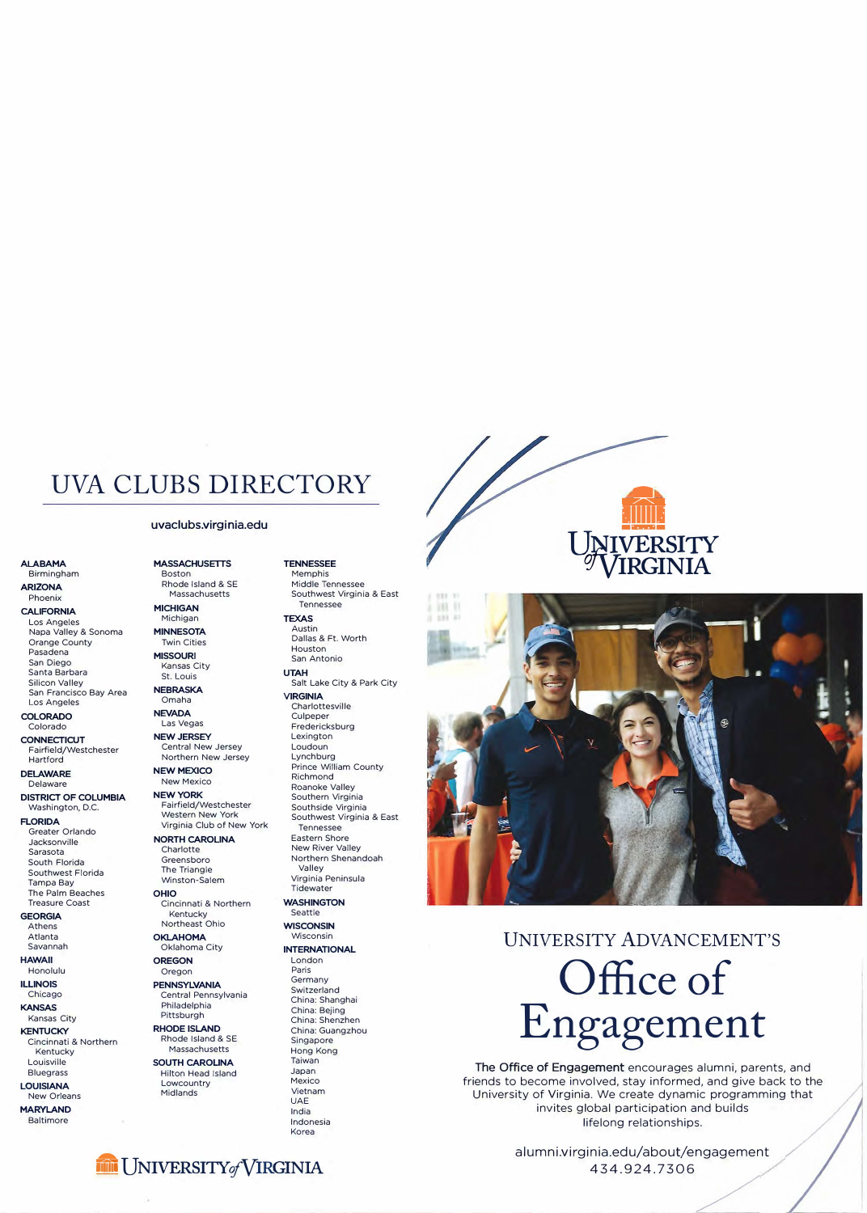## **UVA CLUBS DIRECTORY**

### **uvaclubs.virgi nia.edu**

Los Angeles **TEXAS TEXAS TEXAS TEXAS Napal MINNESOTA TEXAS Austin** Napa Valley & Sonoma **MINNESOTA** Austin<br>
Orange County **Australian County** Twin Cities **Australian County** Dallas & Ft. Worth Orange County<br>Pasadena Pasadena **MISSOURI**  Santa Barbara St. Louis **UTAH**  San Francisco Bay Area **NEBRAS**<br>Los Angeles **Coma**ha Los Angeles Omaha **VIRGINIA** 

**COLORADO NEVADA** Culpeper

**DISTRICT OF COLUMBIA NEW YORK**<br>Washington D.C. **Fairfield/Westchester** 

Greater Orlando Jacksonville **NORTH CAROLINA** Eastern Shore Sarasota Charlotte New River Valley The Palm Beaches **OHIO**<br>Treasure Coast **Cincinnati & Northern WASHINGTON** 

# Kentucky Massachusetts Hong Kong

New Orleans

**MARYLAND**<br>Baltimore

**ALABAMA MASSACHUSETTS TENNESSEE**  Birmingham Boston Memphis **ARIZONA Rhode Island & SE**<br> **Rhode Island & SE** Massachusetts

**CALIFORNIA MICHIGAN** Tennessee

Kansas City

**CONNECTICUT**<br> **Contral New Jersey** Loudoun<br> **Central New Jersey Loudoun** Fairfield/Westchester Central New Jersey Loudoun Hartford Northern New Jersey

ELAWARE NEW YORK Richmond<br>Delaware New Mexico Roanoke V

Virginia Club of New York

Winston-Salem Virginia Peninsula Peninsula Peninsula Peninsula Peninsula Peninsula Peninsula Peninsula Pen<br>Tidewater

**Treasure Cincinnati & Northern WASHIN**<br>Kentucky **Seattle GEORGIA** Kentucky Seattle

Atlanta **OKLAHOMA** Wisconsin

Central Pennsylvania Switzerland<br>China: Shanghai **KANSAS Philadelphia** China: Shanghai China: Shanghai China: Shanghai Philadelphia China: Beiing **ANSAS** China: Bejing Pittsburgh China: Bejing China: Bejing China: Bejing China: Shenzh Pittsburgh China: Shenzh

Cincinnati & Northern Rhode Island & SC<br>Massachusetts

**RICUINA**<br>Phoenix Massachusetts Southwest Virginia & East<br>ALIEODNIA MICHIGAN Tennessee

Houston San Antonio

Charlottesville<br>Culpeper Fredericksburg **DELAWARE NEW MEXICO** Prince William County Roanoke Valley Southern Virginia Washington, D.C. Fairfield/Westchester Southside Virginia<br>Western New York Southwest Virginia **FLORIDA** Western New York Southwest Virginia & East<br>Castern Citized Association Club of New York Tennessee South Florida Greensboro (South Florida Northern Shenandoah)<br>
South Shenandoah (Nalley Valley) Southwest Florida The Triangle Valley

**INTERNATIONAL** 

## Louisville **SOUTH CAROLINA** Taiwan

Bilton Head Island Japan<br>Lowcountry Mexico **LOUISIANA** Lowcountry Mexico

Silicon's<br>
Salt Lake City & Park City<br>
NEBRASKA

## **HAWAII OREGON** London<br> **Honolulu** Oregon **Paris** Oregon Paris<br>ENNOVIMANIA Germany

**ILLINOIS PENNSYLVANIA** Germany<br>Chicago Central Pennsylvania Switzerland China: Shenzhen **KENTUCKY RHODE ISLAND** China: Guangzhou UAE<br>India Indonesia Korea





# **UNIVERSITY ADVANCEMENT'S Office of Engagement**

**The Office of Engagement** encourages alumni, parents, and friends to become involved, stay informed, and give back to the University of Virginia. We create dynamic programming that invites global participation and builds lifelong relationships.

> alumni.virginia.edu/about/engagement 434.924.7306



Athens Northeast Ohio **WISCONSIN**